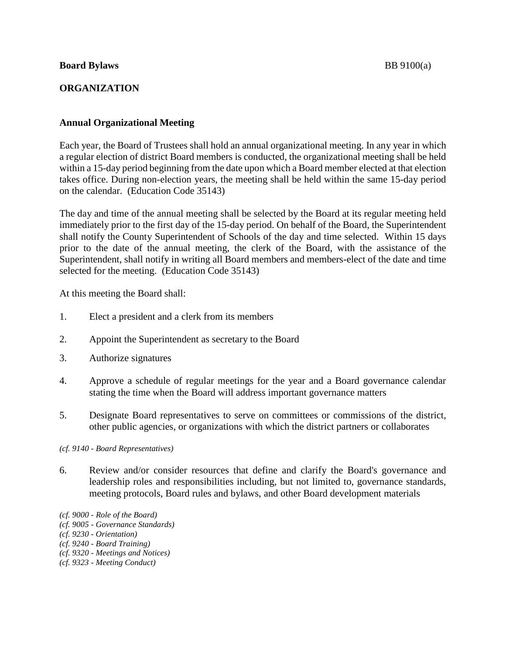### **Board Bylaws** BB 9100(a)

# **ORGANIZATION**

## **Annual Organizational Meeting**

Each year, the Board of Trustees shall hold an annual organizational meeting. In any year in which a regular election of district Board members is conducted, the organizational meeting shall be held within a 15-day period beginning from the date upon which a Board member elected at that election takes office. During non-election years, the meeting shall be held within the same 15-day period on the calendar. (Education Code 35143)

The day and time of the annual meeting shall be selected by the Board at its regular meeting held immediately prior to the first day of the 15-day period. On behalf of the Board, the Superintendent shall notify the County Superintendent of Schools of the day and time selected. Within 15 days prior to the date of the annual meeting, the clerk of the Board, with the assistance of the Superintendent, shall notify in writing all Board members and members-elect of the date and time selected for the meeting. (Education Code 35143)

At this meeting the Board shall:

- 1. Elect a president and a clerk from its members
- 2. Appoint the Superintendent as secretary to the Board
- 3. Authorize signatures
- 4. Approve a schedule of regular meetings for the year and a Board governance calendar stating the time when the Board will address important governance matters
- 5. Designate Board representatives to serve on committees or commissions of the district, other public agencies, or organizations with which the district partners or collaborates

*(cf. 9140 - Board Representatives)*

- 6. Review and/or consider resources that define and clarify the Board's governance and leadership roles and responsibilities including, but not limited to, governance standards, meeting protocols, Board rules and bylaws, and other Board development materials
- *(cf. 9000 - Role of the Board)*
- *(cf. 9005 - Governance Standards)*
- *(cf. 9230 - Orientation)*
- *(cf. 9240 - Board Training)*
- *(cf. 9320 - Meetings and Notices)*
- *(cf. 9323 - Meeting Conduct)*